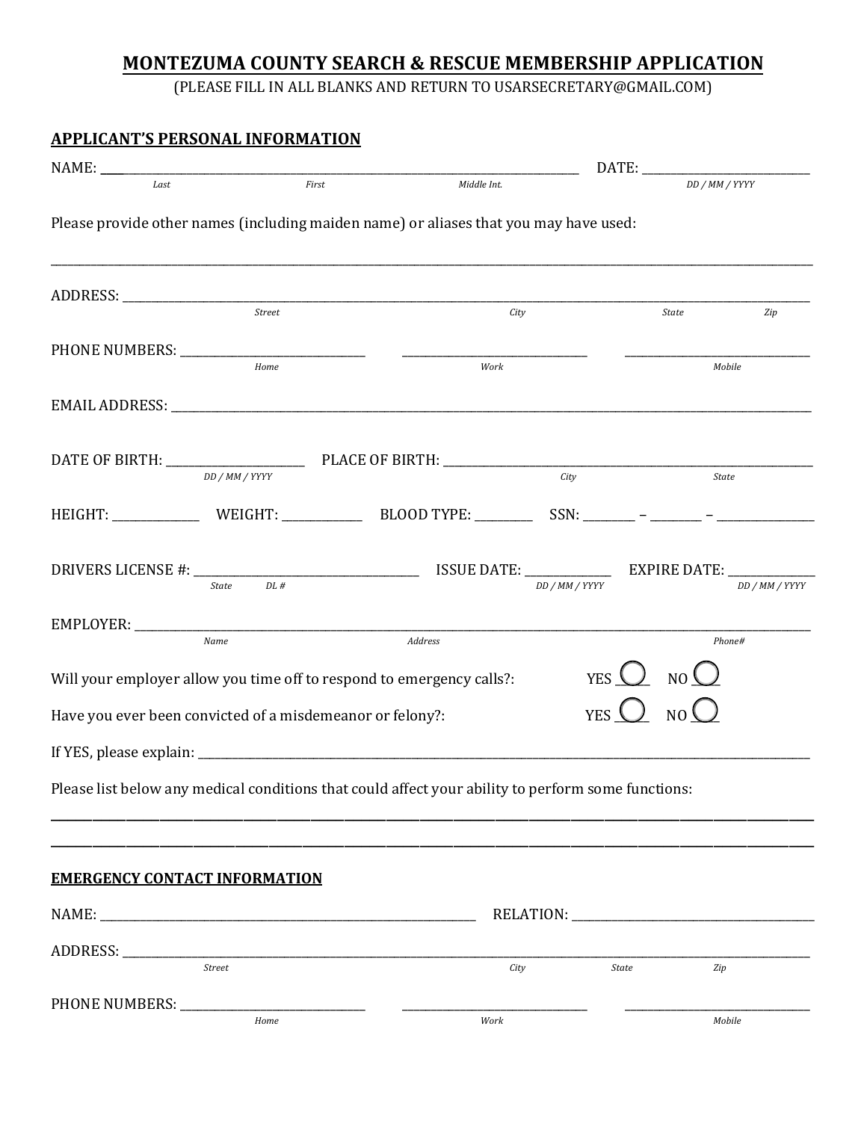## **MONTEZUMA COUNTY SEARCH & RESCUE MEMBERSHIP APPLICATION**

(PLEASE FILL IN ALL BLANKS AND RETURN TO USARSECRETARY@GMAIL.COM)

| <b>APPLICANT'S PERSONAL INFORMATION</b>                                                            |        |             |                                                |                |  |
|----------------------------------------------------------------------------------------------------|--------|-------------|------------------------------------------------|----------------|--|
|                                                                                                    |        |             |                                                |                |  |
| Last                                                                                               | First  | Middle Int. |                                                | DD / MM / YYYY |  |
| Please provide other names (including maiden name) or aliases that you may have used:              |        |             |                                                |                |  |
|                                                                                                    |        | City        |                                                | State<br>Zip   |  |
|                                                                                                    |        |             |                                                |                |  |
| Home                                                                                               |        | Work        |                                                | Mobile         |  |
|                                                                                                    |        |             |                                                |                |  |
|                                                                                                    |        |             |                                                |                |  |
| DD / MM / YYYY                                                                                     |        |             | City                                           | State          |  |
|                                                                                                    |        |             |                                                |                |  |
|                                                                                                    |        |             |                                                |                |  |
| <b>State</b>                                                                                       | $DL$ # |             | DD / MM / YYYY                                 | DD / MM / YYYY |  |
|                                                                                                    |        |             |                                                |                |  |
| Name                                                                                               |        | Address     |                                                | Phone#         |  |
| Will your employer allow you time off to respond to emergency calls?:                              |        |             | YES $\bigcup$ NO $\bigcup$                     |                |  |
| Have you ever been convicted of a misdemeanor or felony?:                                          |        |             | YES $\bigcup_{N\in\mathbb{N}}N\bigcirc\bigcup$ |                |  |
|                                                                                                    |        |             |                                                |                |  |
| Please list below any medical conditions that could affect your ability to perform some functions: |        |             |                                                |                |  |
|                                                                                                    |        |             |                                                |                |  |
| <b>EMERGENCY CONTACT INFORMATION</b>                                                               |        |             |                                                |                |  |
|                                                                                                    |        |             |                                                |                |  |
|                                                                                                    |        |             |                                                |                |  |
| $\frac{1}{\text{Street}}$                                                                          |        | City        | State                                          | Zip            |  |
|                                                                                                    |        |             |                                                |                |  |
|                                                                                                    | Home   | Work        |                                                | Mobile         |  |